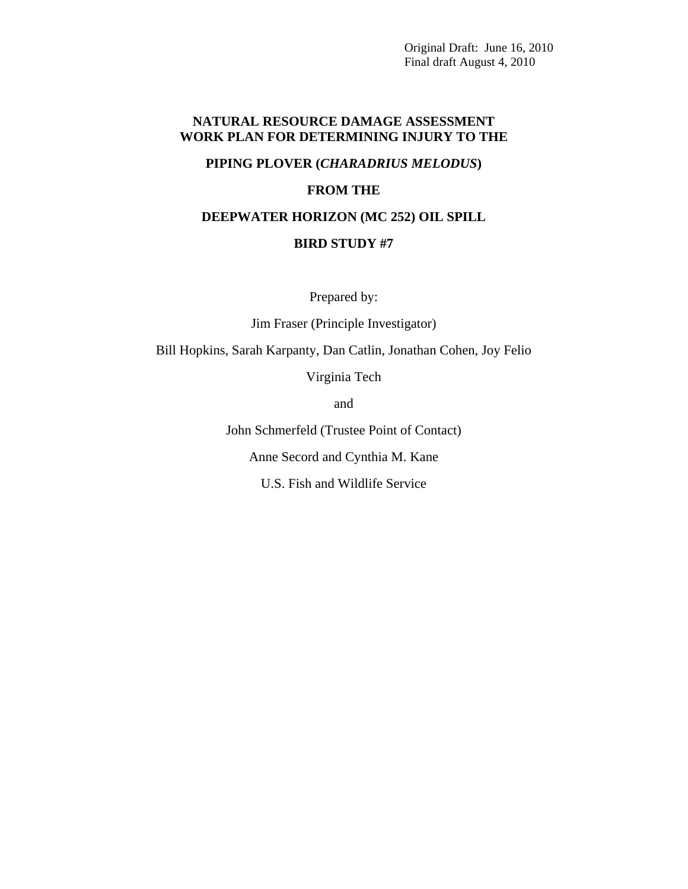## **NATURAL RESOURCE DAMAGE ASSESSMENT WORK PLAN FOR DETERMINING INJURY TO THE**

## **PIPING PLOVER (***CHARADRIUS MELODUS***)**

### **FROM THE**

### **DEEPWATER HORIZON (MC 252) OIL SPILL**

## **BIRD STUDY #7**

Prepared by:

Jim Fraser (Principle Investigator)

Bill Hopkins, Sarah Karpanty, Dan Catlin, Jonathan Cohen, Joy Felio

Virginia Tech

and

John Schmerfeld (Trustee Point of Contact)

Anne Secord and Cynthia M. Kane

U.S. Fish and Wildlife Service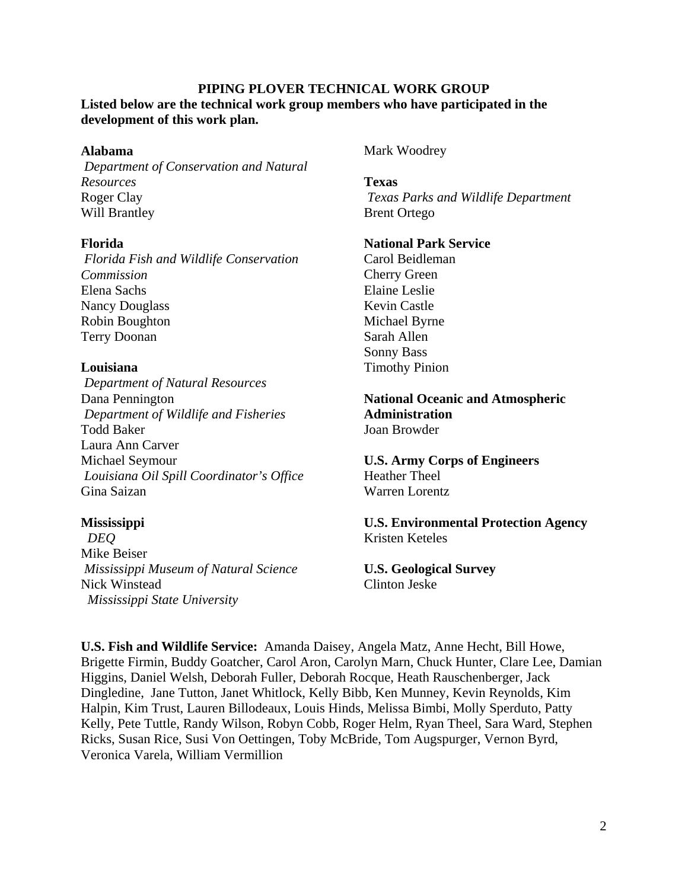## **PIPING PLOVER TECHNICAL WORK GROUP**

**Listed below are the technical work group members who have participated in the development of this work plan.** 

### **Alabama**

*Department of Conservation and Natural Resources*  Roger Clay Will Brantley

### **Florida**

*Florida Fish and Wildlife Conservation Commission*  Elena Sachs Nancy Douglass Robin Boughton Terry Doonan

### **Louisiana**

*Department of Natural Resources*  Dana Pennington *Department of Wildlife and Fisheries*  Todd Baker Laura Ann Carver Michael Seymour *Louisiana Oil Spill Coordinator's Office*  Gina Saizan

### **Mississippi**

 *DEQ*  Mike Beiser *Mississippi Museum of Natural Science*  Nick Winstead  *Mississippi State University* 

Mark Woodrey

**Texas**   *Texas Parks and Wildlife Department*  Brent Ortego

### **National Park Service**

Carol Beidleman Cherry Green Elaine Leslie Kevin Castle Michael Byrne Sarah Allen Sonny Bass Timothy Pinion

**National Oceanic and Atmospheric Administration**  Joan Browder

**U.S. Army Corps of Engineers**  Heather Theel Warren Lorentz

**U.S. Environmental Protection Agency**  Kristen Keteles

**U.S. Geological Survey**  Clinton Jeske

**U.S. Fish and Wildlife Service:** Amanda Daisey, Angela Matz, Anne Hecht, Bill Howe, Brigette Firmin, Buddy Goatcher, Carol Aron, Carolyn Marn, Chuck Hunter, Clare Lee, Damian Higgins, Daniel Welsh, Deborah Fuller, Deborah Rocque, Heath Rauschenberger, Jack Dingledine, Jane Tutton, Janet Whitlock, Kelly Bibb, Ken Munney, Kevin Reynolds, Kim Halpin, Kim Trust, Lauren Billodeaux, Louis Hinds, Melissa Bimbi, Molly Sperduto, Patty Kelly, Pete Tuttle, Randy Wilson, Robyn Cobb, Roger Helm, Ryan Theel, Sara Ward, Stephen Ricks, Susan Rice, Susi Von Oettingen, Toby McBride, Tom Augspurger, Vernon Byrd, Veronica Varela, William Vermillion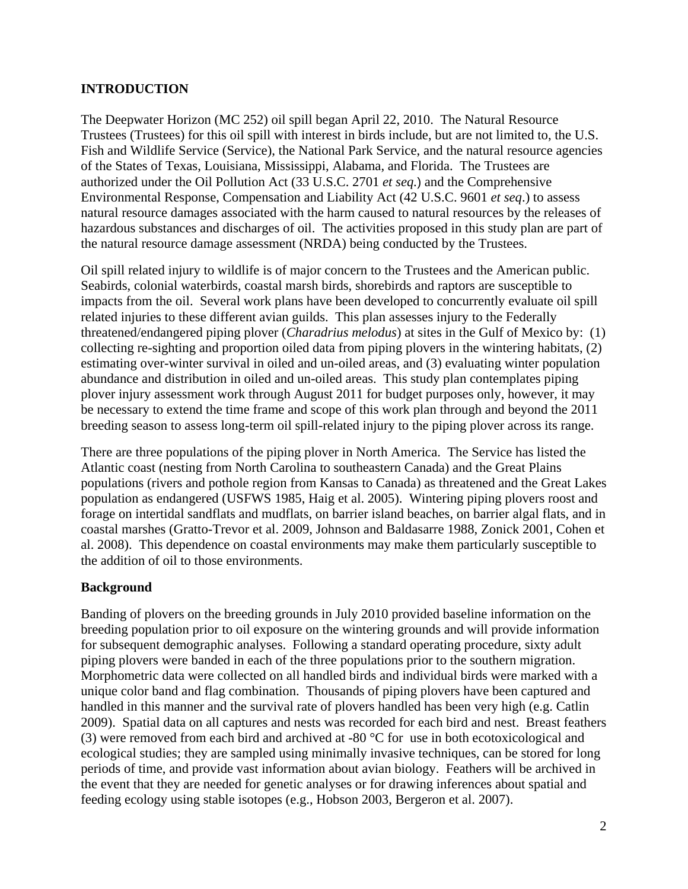## **INTRODUCTION**

The Deepwater Horizon (MC 252) oil spill began April 22, 2010. The Natural Resource Trustees (Trustees) for this oil spill with interest in birds include, but are not limited to, the U.S. Fish and Wildlife Service (Service), the National Park Service, and the natural resource agencies of the States of Texas, Louisiana, Mississippi, Alabama, and Florida. The Trustees are authorized under the Oil Pollution Act (33 U.S.C. 2701 *et seq.*) and the Comprehensive Environmental Response, Compensation and Liability Act (42 U.S.C. 9601 *et seq*.) to assess natural resource damages associated with the harm caused to natural resources by the releases of hazardous substances and discharges of oil. The activities proposed in this study plan are part of the natural resource damage assessment (NRDA) being conducted by the Trustees.

Oil spill related injury to wildlife is of major concern to the Trustees and the American public. Seabirds, colonial waterbirds, coastal marsh birds, shorebirds and raptors are susceptible to impacts from the oil. Several work plans have been developed to concurrently evaluate oil spill related injuries to these different avian guilds. This plan assesses injury to the Federally threatened/endangered piping plover (*Charadrius melodus*) at sites in the Gulf of Mexico by: (1) collecting re-sighting and proportion oiled data from piping plovers in the wintering habitats, (2) estimating over-winter survival in oiled and un-oiled areas, and (3) evaluating winter population abundance and distribution in oiled and un-oiled areas. This study plan contemplates piping plover injury assessment work through August 2011 for budget purposes only, however, it may be necessary to extend the time frame and scope of this work plan through and beyond the 2011 breeding season to assess long-term oil spill-related injury to the piping plover across its range.

There are three populations of the piping plover in North America. The Service has listed the Atlantic coast (nesting from North Carolina to southeastern Canada) and the Great Plains populations (rivers and pothole region from Kansas to Canada) as threatened and the Great Lakes population as endangered (USFWS 1985, Haig et al. 2005). Wintering piping plovers roost and forage on intertidal sandflats and mudflats, on barrier island beaches, on barrier algal flats, and in coastal marshes (Gratto-Trevor et al. 2009, Johnson and Baldasarre 1988, Zonick 2001, Cohen et al. 2008). This dependence on coastal environments may make them particularly susceptible to the addition of oil to those environments.

## **Background**

Banding of plovers on the breeding grounds in July 2010 provided baseline information on the breeding population prior to oil exposure on the wintering grounds and will provide information for subsequent demographic analyses. Following a standard operating procedure, sixty adult piping plovers were banded in each of the three populations prior to the southern migration. Morphometric data were collected on all handled birds and individual birds were marked with a unique color band and flag combination. Thousands of piping plovers have been captured and handled in this manner and the survival rate of plovers handled has been very high (e.g. Catlin 2009). Spatial data on all captures and nests was recorded for each bird and nest. Breast feathers (3) were removed from each bird and archived at -80 °C for use in both ecotoxicological and ecological studies; they are sampled using minimally invasive techniques, can be stored for long periods of time, and provide vast information about avian biology. Feathers will be archived in the event that they are needed for genetic analyses or for drawing inferences about spatial and feeding ecology using stable isotopes (e.g., Hobson 2003, Bergeron et al. 2007).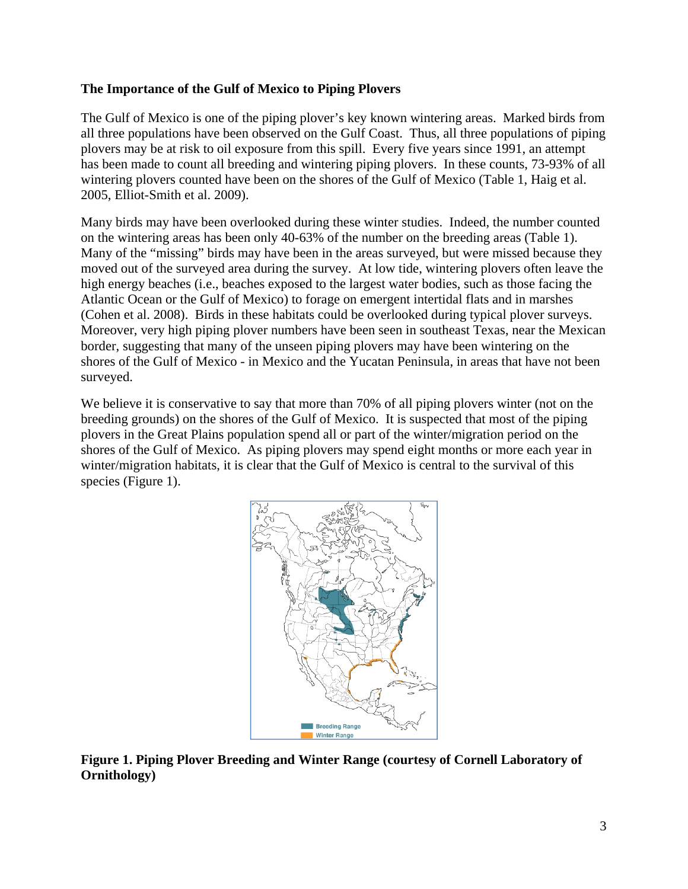## **The Importance of the Gulf of Mexico to Piping Plovers**

The Gulf of Mexico is one of the piping plover's key known wintering areas. Marked birds from all three populations have been observed on the Gulf Coast. Thus, all three populations of piping plovers may be at risk to oil exposure from this spill. Every five years since 1991, an attempt has been made to count all breeding and wintering piping plovers. In these counts, 73-93% of all wintering plovers counted have been on the shores of the Gulf of Mexico (Table 1, Haig et al. 2005, Elliot-Smith et al. 2009).

Many birds may have been overlooked during these winter studies. Indeed, the number counted on the wintering areas has been only 40-63% of the number on the breeding areas (Table 1). Many of the "missing" birds may have been in the areas surveyed, but were missed because they moved out of the surveyed area during the survey. At low tide, wintering plovers often leave the high energy beaches (i.e., beaches exposed to the largest water bodies, such as those facing the Atlantic Ocean or the Gulf of Mexico) to forage on emergent intertidal flats and in marshes (Cohen et al. 2008). Birds in these habitats could be overlooked during typical plover surveys. Moreover, very high piping plover numbers have been seen in southeast Texas, near the Mexican border, suggesting that many of the unseen piping plovers may have been wintering on the shores of the Gulf of Mexico - in Mexico and the Yucatan Peninsula, in areas that have not been surveyed.

We believe it is conservative to say that more than 70% of all piping plovers winter (not on the breeding grounds) on the shores of the Gulf of Mexico. It is suspected that most of the piping plovers in the Great Plains population spend all or part of the winter/migration period on the shores of the Gulf of Mexico. As piping plovers may spend eight months or more each year in winter/migration habitats, it is clear that the Gulf of Mexico is central to the survival of this species (Figure 1).



**Figure 1. Piping Plover Breeding and Winter Range (courtesy of Cornell Laboratory of Ornithology)**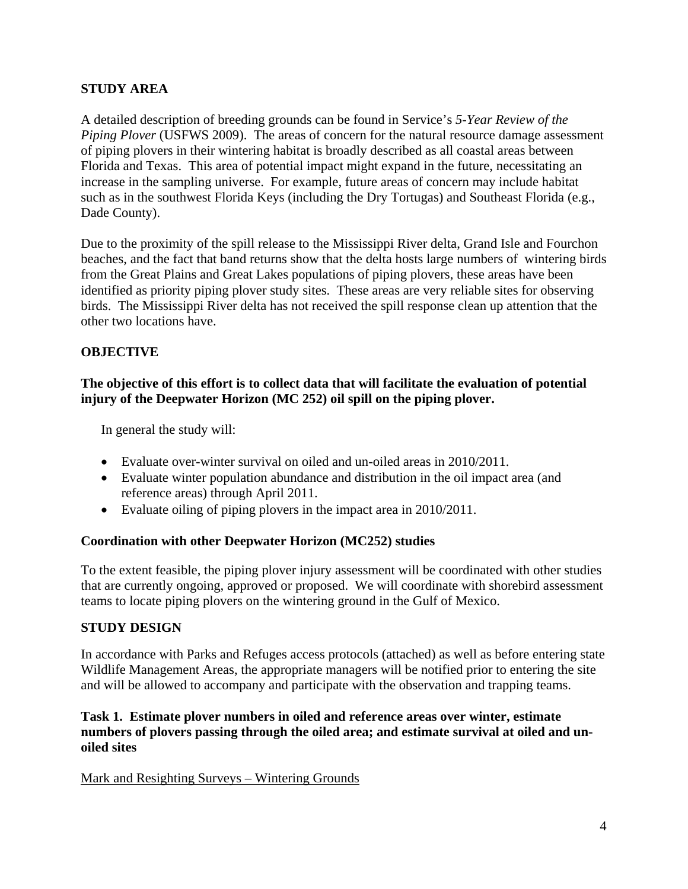## **STUDY AREA**

A detailed description of breeding grounds can be found in Service's *5-Year Review of the Piping Plover* (USFWS 2009). The areas of concern for the natural resource damage assessment of piping plovers in their wintering habitat is broadly described as all coastal areas between Florida and Texas. This area of potential impact might expand in the future, necessitating an increase in the sampling universe. For example, future areas of concern may include habitat such as in the southwest Florida Keys (including the Dry Tortugas) and Southeast Florida (e.g., Dade County).

Due to the proximity of the spill release to the Mississippi River delta, Grand Isle and Fourchon beaches, and the fact that band returns show that the delta hosts large numbers of wintering birds from the Great Plains and Great Lakes populations of piping plovers, these areas have been identified as priority piping plover study sites. These areas are very reliable sites for observing birds. The Mississippi River delta has not received the spill response clean up attention that the other two locations have.

## **OBJECTIVE**

## **The objective of this effort is to collect data that will facilitate the evaluation of potential injury of the Deepwater Horizon (MC 252) oil spill on the piping plover.**

In general the study will:

- Evaluate over-winter survival on oiled and un-oiled areas in 2010/2011.
- Evaluate winter population abundance and distribution in the oil impact area (and reference areas) through April 2011.
- Evaluate oiling of piping plovers in the impact area in 2010/2011.

## **Coordination with other Deepwater Horizon (MC252) studies**

To the extent feasible, the piping plover injury assessment will be coordinated with other studies that are currently ongoing, approved or proposed. We will coordinate with shorebird assessment teams to locate piping plovers on the wintering ground in the Gulf of Mexico.

## **STUDY DESIGN**

In accordance with Parks and Refuges access protocols (attached) as well as before entering state Wildlife Management Areas, the appropriate managers will be notified prior to entering the site and will be allowed to accompany and participate with the observation and trapping teams.

## **Task 1. Estimate plover numbers in oiled and reference areas over winter, estimate numbers of plovers passing through the oiled area; and estimate survival at oiled and unoiled sites**

Mark and Resighting Surveys – Wintering Grounds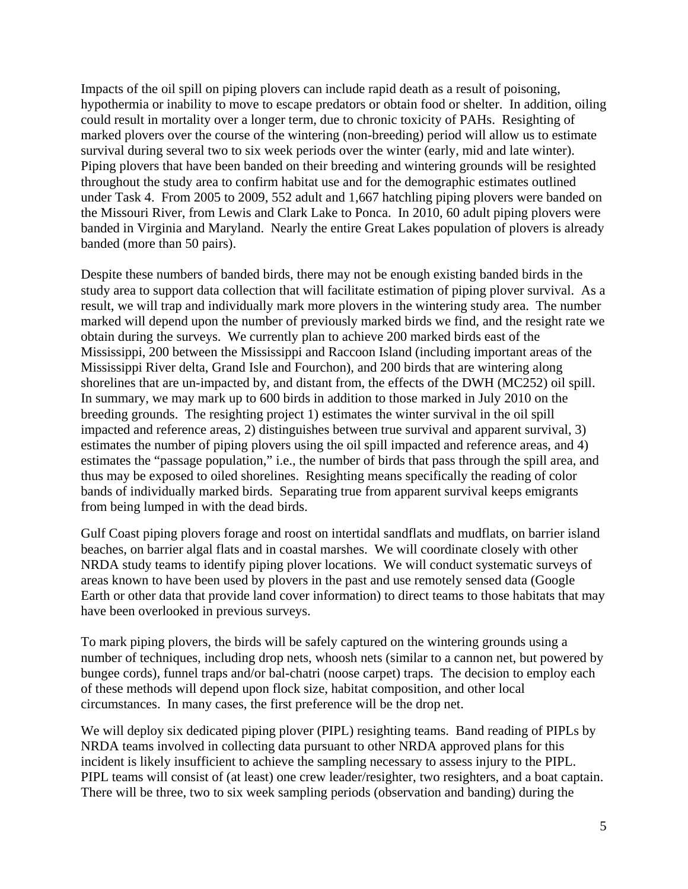Impacts of the oil spill on piping plovers can include rapid death as a result of poisoning, hypothermia or inability to move to escape predators or obtain food or shelter. In addition, oiling could result in mortality over a longer term, due to chronic toxicity of PAHs. Resighting of marked plovers over the course of the wintering (non-breeding) period will allow us to estimate survival during several two to six week periods over the winter (early, mid and late winter). Piping plovers that have been banded on their breeding and wintering grounds will be resighted throughout the study area to confirm habitat use and for the demographic estimates outlined under Task 4. From 2005 to 2009, 552 adult and 1,667 hatchling piping plovers were banded on the Missouri River, from Lewis and Clark Lake to Ponca. In 2010, 60 adult piping plovers were banded in Virginia and Maryland. Nearly the entire Great Lakes population of plovers is already banded (more than 50 pairs).

Despite these numbers of banded birds, there may not be enough existing banded birds in the study area to support data collection that will facilitate estimation of piping plover survival. As a result, we will trap and individually mark more plovers in the wintering study area. The number marked will depend upon the number of previously marked birds we find, and the resight rate we obtain during the surveys. We currently plan to achieve 200 marked birds east of the Mississippi, 200 between the Mississippi and Raccoon Island (including important areas of the Mississippi River delta, Grand Isle and Fourchon), and 200 birds that are wintering along shorelines that are un-impacted by, and distant from, the effects of the DWH (MC252) oil spill. In summary, we may mark up to 600 birds in addition to those marked in July 2010 on the breeding grounds. The resighting project 1) estimates the winter survival in the oil spill impacted and reference areas, 2) distinguishes between true survival and apparent survival, 3) estimates the number of piping plovers using the oil spill impacted and reference areas, and 4) estimates the "passage population," i.e., the number of birds that pass through the spill area, and thus may be exposed to oiled shorelines. Resighting means specifically the reading of color bands of individually marked birds. Separating true from apparent survival keeps emigrants from being lumped in with the dead birds.

Gulf Coast piping plovers forage and roost on intertidal sandflats and mudflats, on barrier island beaches, on barrier algal flats and in coastal marshes. We will coordinate closely with other NRDA study teams to identify piping plover locations. We will conduct systematic surveys of areas known to have been used by plovers in the past and use remotely sensed data (Google Earth or other data that provide land cover information) to direct teams to those habitats that may have been overlooked in previous surveys.

To mark piping plovers, the birds will be safely captured on the wintering grounds using a number of techniques, including drop nets, whoosh nets (similar to a cannon net, but powered by bungee cords), funnel traps and/or bal-chatri (noose carpet) traps. The decision to employ each of these methods will depend upon flock size, habitat composition, and other local circumstances. In many cases, the first preference will be the drop net.

We will deploy six dedicated piping plover (PIPL) resighting teams. Band reading of PIPLs by NRDA teams involved in collecting data pursuant to other NRDA approved plans for this incident is likely insufficient to achieve the sampling necessary to assess injury to the PIPL. PIPL teams will consist of (at least) one crew leader/resighter, two resighters, and a boat captain. There will be three, two to six week sampling periods (observation and banding) during the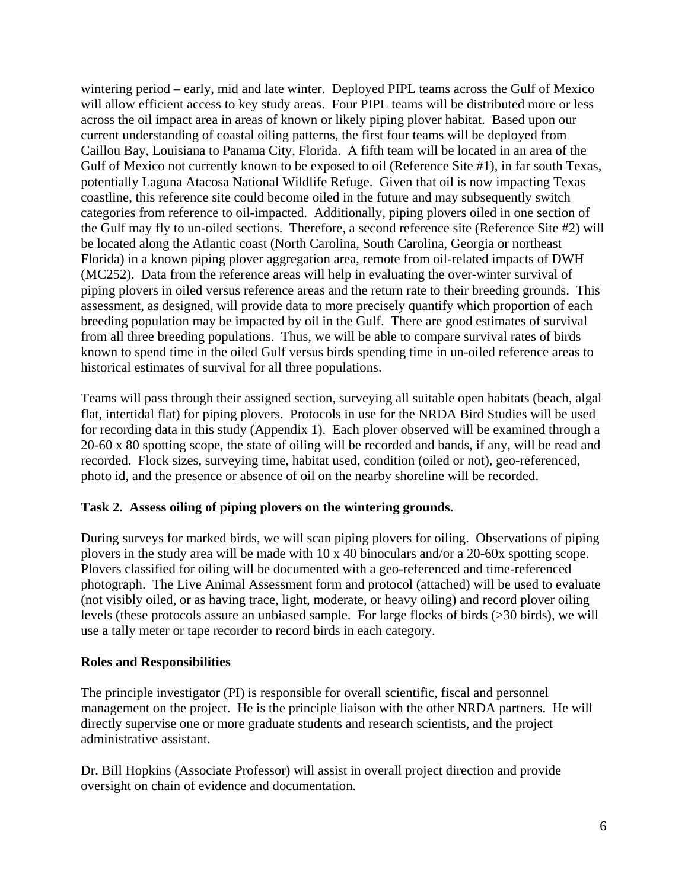wintering period – early, mid and late winter. Deployed PIPL teams across the Gulf of Mexico will allow efficient access to key study areas. Four PIPL teams will be distributed more or less across the oil impact area in areas of known or likely piping plover habitat. Based upon our current understanding of coastal oiling patterns, the first four teams will be deployed from Caillou Bay, Louisiana to Panama City, Florida. A fifth team will be located in an area of the Gulf of Mexico not currently known to be exposed to oil (Reference Site #1), in far south Texas, potentially Laguna Atacosa National Wildlife Refuge. Given that oil is now impacting Texas coastline, this reference site could become oiled in the future and may subsequently switch categories from reference to oil-impacted. Additionally, piping plovers oiled in one section of the Gulf may fly to un-oiled sections. Therefore, a second reference site (Reference Site #2) will be located along the Atlantic coast (North Carolina, South Carolina, Georgia or northeast Florida) in a known piping plover aggregation area, remote from oil-related impacts of DWH (MC252). Data from the reference areas will help in evaluating the over-winter survival of piping plovers in oiled versus reference areas and the return rate to their breeding grounds. This assessment, as designed, will provide data to more precisely quantify which proportion of each breeding population may be impacted by oil in the Gulf. There are good estimates of survival from all three breeding populations. Thus, we will be able to compare survival rates of birds known to spend time in the oiled Gulf versus birds spending time in un-oiled reference areas to historical estimates of survival for all three populations.

Teams will pass through their assigned section, surveying all suitable open habitats (beach, algal flat, intertidal flat) for piping plovers. Protocols in use for the NRDA Bird Studies will be used for recording data in this study (Appendix 1). Each plover observed will be examined through a 20-60 x 80 spotting scope, the state of oiling will be recorded and bands, if any, will be read and recorded. Flock sizes, surveying time, habitat used, condition (oiled or not), geo-referenced, photo id, and the presence or absence of oil on the nearby shoreline will be recorded.

## **Task 2. Assess oiling of piping plovers on the wintering grounds.**

During surveys for marked birds, we will scan piping plovers for oiling. Observations of piping plovers in the study area will be made with 10 x 40 binoculars and/or a 20-60x spotting scope. Plovers classified for oiling will be documented with a geo-referenced and time-referenced photograph. The Live Animal Assessment form and protocol (attached) will be used to evaluate (not visibly oiled, or as having trace, light, moderate, or heavy oiling) and record plover oiling levels (these protocols assure an unbiased sample. For large flocks of birds (>30 birds), we will use a tally meter or tape recorder to record birds in each category.

### **Roles and Responsibilities**

The principle investigator (PI) is responsible for overall scientific, fiscal and personnel management on the project. He is the principle liaison with the other NRDA partners. He will directly supervise one or more graduate students and research scientists, and the project administrative assistant.

Dr. Bill Hopkins (Associate Professor) will assist in overall project direction and provide oversight on chain of evidence and documentation.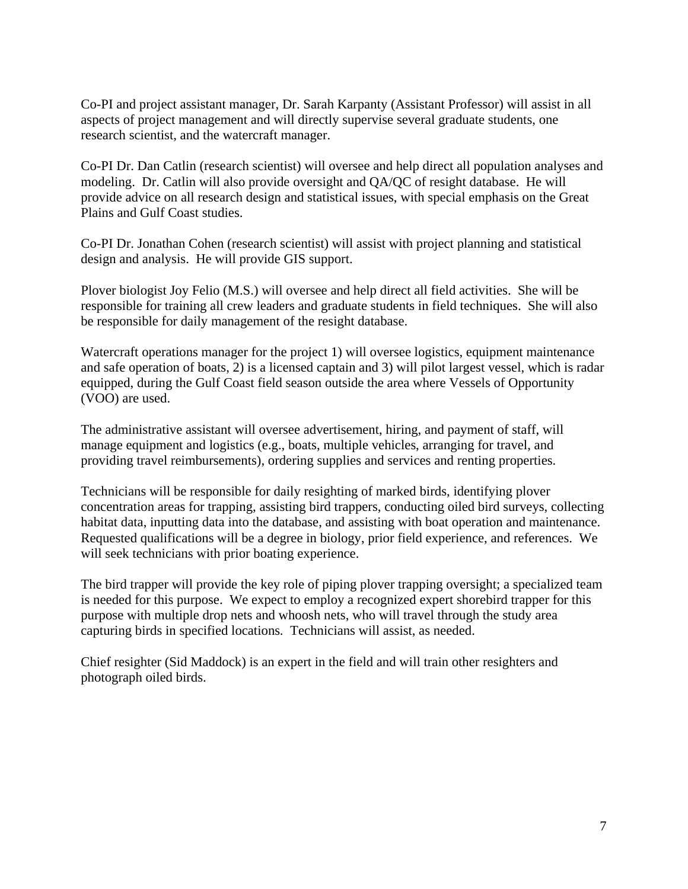Co-PI and project assistant manager, Dr. Sarah Karpanty (Assistant Professor) will assist in all aspects of project management and will directly supervise several graduate students, one research scientist, and the watercraft manager.

Co-PI Dr. Dan Catlin (research scientist) will oversee and help direct all population analyses and modeling. Dr. Catlin will also provide oversight and QA/QC of resight database. He will provide advice on all research design and statistical issues, with special emphasis on the Great Plains and Gulf Coast studies.

Co-PI Dr. Jonathan Cohen (research scientist) will assist with project planning and statistical design and analysis. He will provide GIS support.

Plover biologist Joy Felio (M.S.) will oversee and help direct all field activities. She will be responsible for training all crew leaders and graduate students in field techniques. She will also be responsible for daily management of the resight database.

Watercraft operations manager for the project 1) will oversee logistics, equipment maintenance and safe operation of boats, 2) is a licensed captain and 3) will pilot largest vessel, which is radar equipped, during the Gulf Coast field season outside the area where Vessels of Opportunity (VOO) are used.

The administrative assistant will oversee advertisement, hiring, and payment of staff, will manage equipment and logistics (e.g., boats, multiple vehicles, arranging for travel, and providing travel reimbursements), ordering supplies and services and renting properties.

Technicians will be responsible for daily resighting of marked birds, identifying plover concentration areas for trapping, assisting bird trappers, conducting oiled bird surveys, collecting habitat data, inputting data into the database, and assisting with boat operation and maintenance. Requested qualifications will be a degree in biology, prior field experience, and references. We will seek technicians with prior boating experience.

The bird trapper will provide the key role of piping plover trapping oversight; a specialized team is needed for this purpose. We expect to employ a recognized expert shorebird trapper for this purpose with multiple drop nets and whoosh nets, who will travel through the study area capturing birds in specified locations. Technicians will assist, as needed.

Chief resighter (Sid Maddock) is an expert in the field and will train other resighters and photograph oiled birds.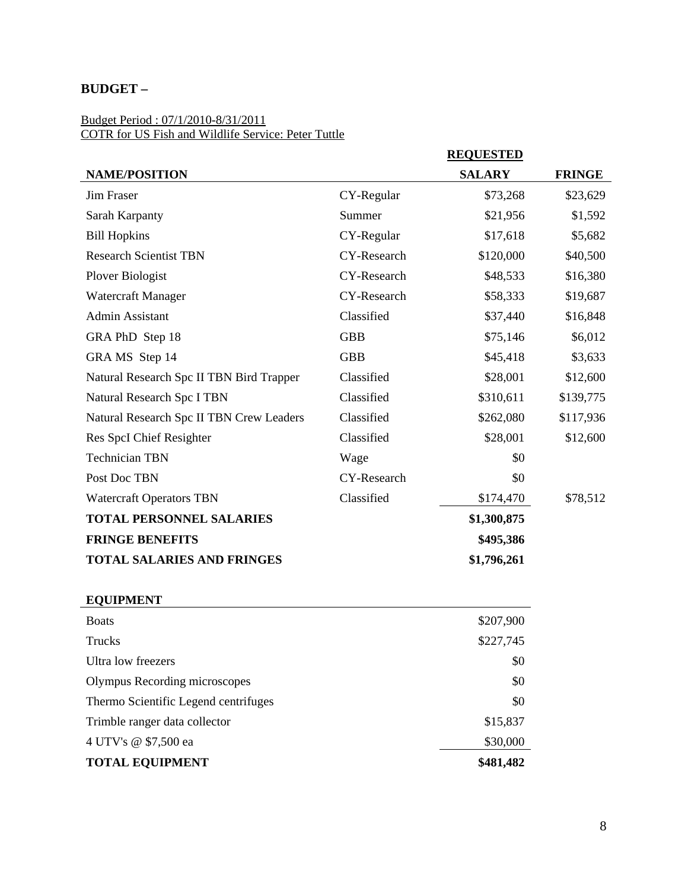# **BUDGET –**

#### Budget Period : 07/1/2010-8/31/2011 COTR for US Fish and Wildlife Service: Peter Tuttle

|                                          |             | <b>REQUESTED</b> |               |
|------------------------------------------|-------------|------------------|---------------|
| <b>NAME/POSITION</b>                     |             | <b>SALARY</b>    | <b>FRINGE</b> |
| <b>Jim Fraser</b>                        | CY-Regular  | \$73,268         | \$23,629      |
| Sarah Karpanty                           | Summer      | \$21,956         | \$1,592       |
| <b>Bill Hopkins</b>                      | CY-Regular  | \$17,618         | \$5,682       |
| <b>Research Scientist TBN</b>            | CY-Research | \$120,000        | \$40,500      |
| <b>Plover Biologist</b>                  | CY-Research | \$48,533         | \$16,380      |
| Watercraft Manager                       | CY-Research | \$58,333         | \$19,687      |
| Admin Assistant                          | Classified  | \$37,440         | \$16,848      |
| GRA PhD Step 18                          | <b>GBB</b>  | \$75,146         | \$6,012       |
| GRA MS Step 14                           | <b>GBB</b>  | \$45,418         | \$3,633       |
| Natural Research Spc II TBN Bird Trapper | Classified  | \$28,001         | \$12,600      |
| Natural Research Spc I TBN               | Classified  | \$310,611        | \$139,775     |
| Natural Research Spc II TBN Crew Leaders | Classified  | \$262,080        | \$117,936     |
| Res SpcI Chief Resighter                 | Classified  | \$28,001         | \$12,600      |
| <b>Technician TBN</b>                    | Wage        | \$0              |               |
| Post Doc TBN                             | CY-Research | \$0              |               |
| <b>Watercraft Operators TBN</b>          | Classified  | \$174,470        | \$78,512      |
| <b>TOTAL PERSONNEL SALARIES</b>          |             | \$1,300,875      |               |
| <b>FRINGE BENEFITS</b>                   |             | \$495,386        |               |
| <b>TOTAL SALARIES AND FRINGES</b>        |             | \$1,796,261      |               |
|                                          |             |                  |               |

## **EQUIPMENT**

| <b>Boats</b>                         | \$207,900 |
|--------------------------------------|-----------|
| <b>Trucks</b>                        | \$227,745 |
| Ultra low freezers                   | \$0       |
| Olympus Recording microscopes        | \$0       |
| Thermo Scientific Legend centrifuges | \$0       |
| Trimble ranger data collector        | \$15,837  |
| 4 UTV's @ \$7,500 ea                 | \$30,000  |
| <b>TOTAL EQUIPMENT</b>               | \$481,482 |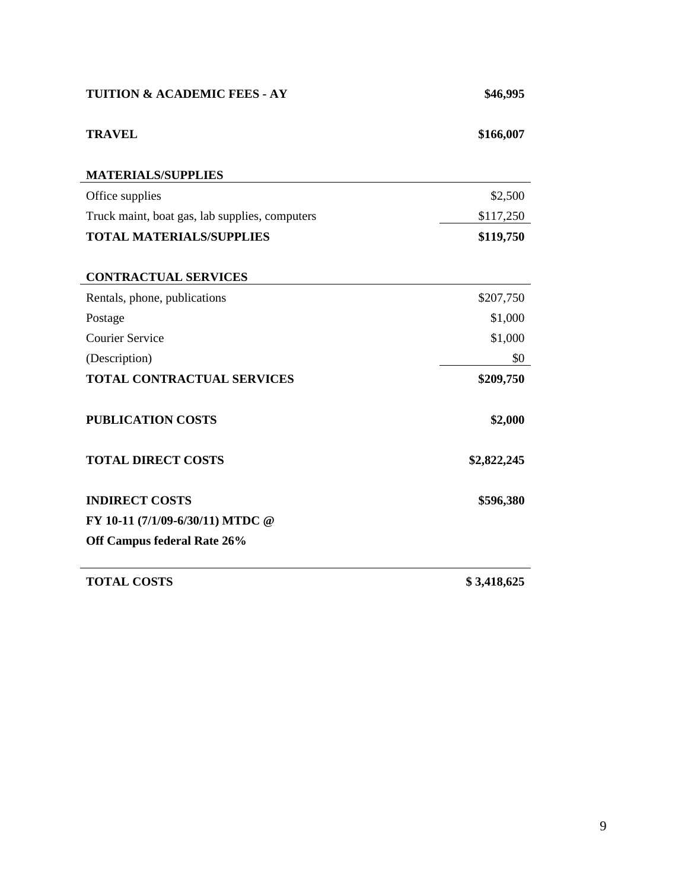| <b>TUITION &amp; ACADEMIC FEES - AY</b>        | \$46,995    |  |  |
|------------------------------------------------|-------------|--|--|
| <b>TRAVEL</b>                                  | \$166,007   |  |  |
| <b>MATERIALS/SUPPLIES</b>                      |             |  |  |
| Office supplies                                | \$2,500     |  |  |
| Truck maint, boat gas, lab supplies, computers | \$117,250   |  |  |
| <b>TOTAL MATERIALS/SUPPLIES</b>                | \$119,750   |  |  |
| <b>CONTRACTUAL SERVICES</b>                    |             |  |  |
| Rentals, phone, publications                   | \$207,750   |  |  |
| Postage                                        | \$1,000     |  |  |
| <b>Courier Service</b>                         | \$1,000     |  |  |
| (Description)                                  | \$0         |  |  |
| <b>TOTAL CONTRACTUAL SERVICES</b>              | \$209,750   |  |  |
| <b>PUBLICATION COSTS</b>                       | \$2,000     |  |  |
| <b>TOTAL DIRECT COSTS</b>                      | \$2,822,245 |  |  |
| <b>INDIRECT COSTS</b>                          | \$596,380   |  |  |
| FY 10-11 (7/1/09-6/30/11) MTDC @               |             |  |  |
| Off Campus federal Rate 26%                    |             |  |  |
| <b>TOTAL COSTS</b>                             | \$3,418,625 |  |  |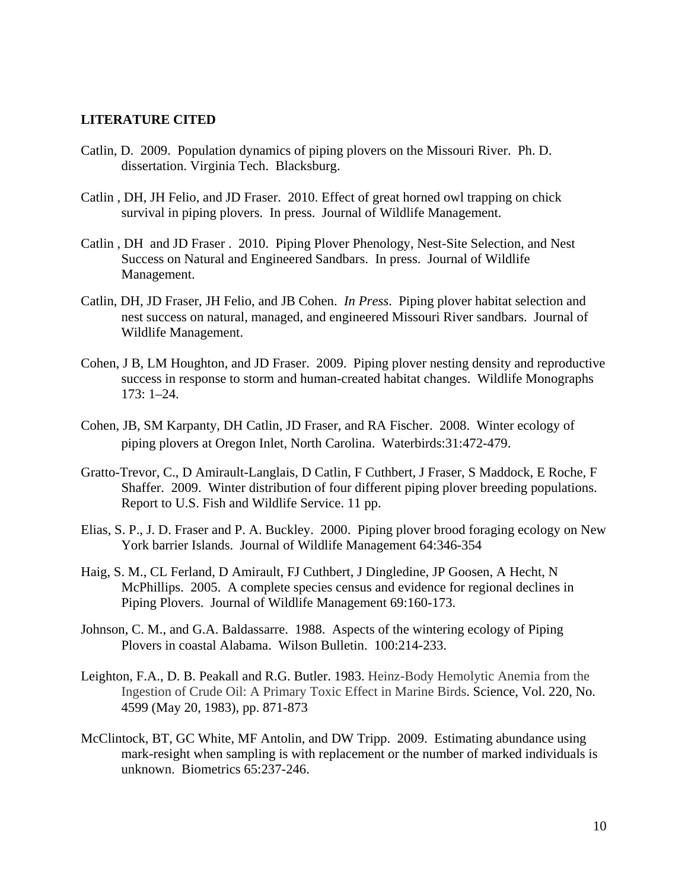#### **LITERATURE CITED**

- Catlin, D. 2009. Population dynamics of piping plovers on the Missouri River. Ph. D. dissertation. Virginia Tech. Blacksburg.
- Catlin , DH, JH Felio, and JD Fraser. 2010. Effect of great horned owl trapping on chick survival in piping plovers. In press. Journal of Wildlife Management.
- Catlin , DH and JD Fraser . 2010. Piping Plover Phenology, Nest-Site Selection, and Nest Success on Natural and Engineered Sandbars. In press. Journal of Wildlife Management.
- Catlin, DH, JD Fraser, JH Felio, and JB Cohen. *In Press*. Piping plover habitat selection and nest success on natural, managed, and engineered Missouri River sandbars. Journal of Wildlife Management.
- Cohen, J B, LM Houghton, and JD Fraser. 2009. Piping plover nesting density and reproductive success in response to storm and human-created habitat changes. Wildlife Monographs 173: 1–24.
- Cohen, JB, SM Karpanty, DH Catlin, JD Fraser, and RA Fischer. 2008. Winter ecology of piping plovers at Oregon Inlet, North Carolina. Waterbirds:31:472-479.
- Gratto-Trevor, C., D Amirault-Langlais, D Catlin, F Cuthbert, J Fraser, S Maddock, E Roche, F Shaffer. 2009. Winter distribution of four different piping plover breeding populations. Report to U.S. Fish and Wildlife Service. 11 pp.
- Elias, S. P., J. D. Fraser and P. A. Buckley. 2000. Piping plover brood foraging ecology on New York barrier Islands. Journal of Wildlife Management 64:346-354
- Haig, S. M., CL Ferland, D Amirault, FJ Cuthbert, J Dingledine, JP Goosen, A Hecht, N McPhillips. 2005. A complete species census and evidence for regional declines in Piping Plovers.Journal of Wildlife Management 69:160-173.
- Johnson, C. M., and G.A. Baldassarre. 1988. Aspects of the wintering ecology of Piping Plovers in coastal Alabama. Wilson Bulletin. 100:214-233.
- Leighton, F.A., D. B. Peakall and R.G. Butler. 1983. Heinz-Body Hemolytic Anemia from the Ingestion of Crude Oil: A Primary Toxic Effect in Marine Birds. [Science,](http://www.jstor.org/action/showPublication?journalCode=science) Vol. 220, No. 4599 (May 20, 1983), pp. 871-873
- McClintock, BT, GC White, MF Antolin, and DW Tripp. 2009. Estimating abundance using mark-resight when sampling is with replacement or the number of marked individuals is unknown. Biometrics 65:237-246.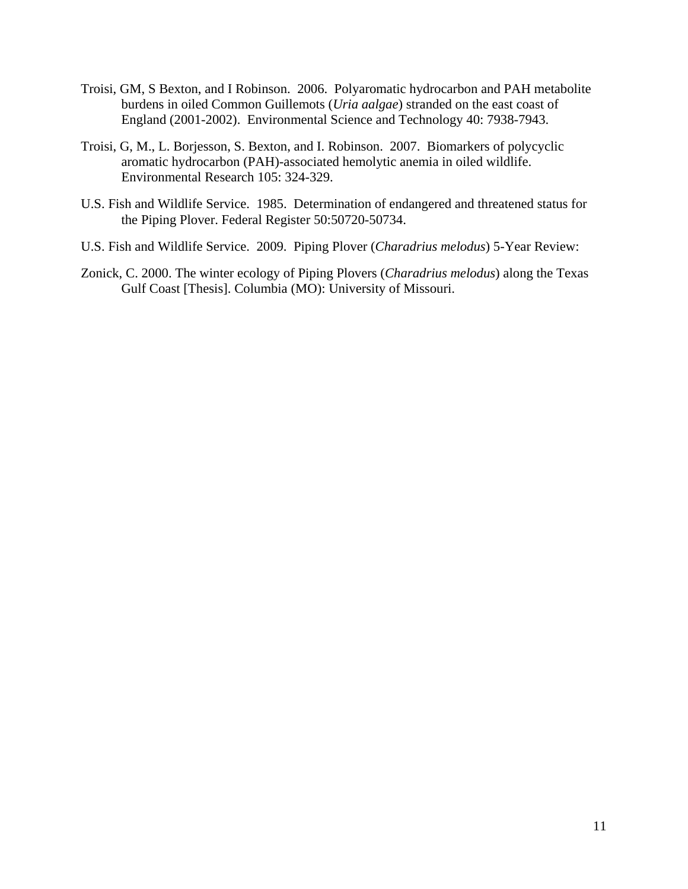- Troisi, GM, S Bexton, and I Robinson. 2006. Polyaromatic hydrocarbon and PAH metabolite burdens in oiled Common Guillemots (*Uria aalgae*) stranded on the east coast of England (2001-2002). Environmental Science and Technology 40: 7938-7943.
- Troisi, G, M., L. Borjesson, S. Bexton, and I. Robinson. 2007. Biomarkers of polycyclic aromatic hydrocarbon (PAH)-associated hemolytic anemia in oiled wildlife. Environmental Research 105: 324-329.
- U.S. Fish and Wildlife Service. 1985. Determination of endangered and threatened status for the Piping Plover. Federal Register 50:50720-50734.
- U.S. Fish and Wildlife Service. 2009. Piping Plover (*Charadrius melodus*) 5-Year Review:
- Zonick, C. 2000. The winter ecology of Piping Plovers (*Charadrius melodus*) along the Texas Gulf Coast [Thesis]. Columbia (MO): University of Missouri.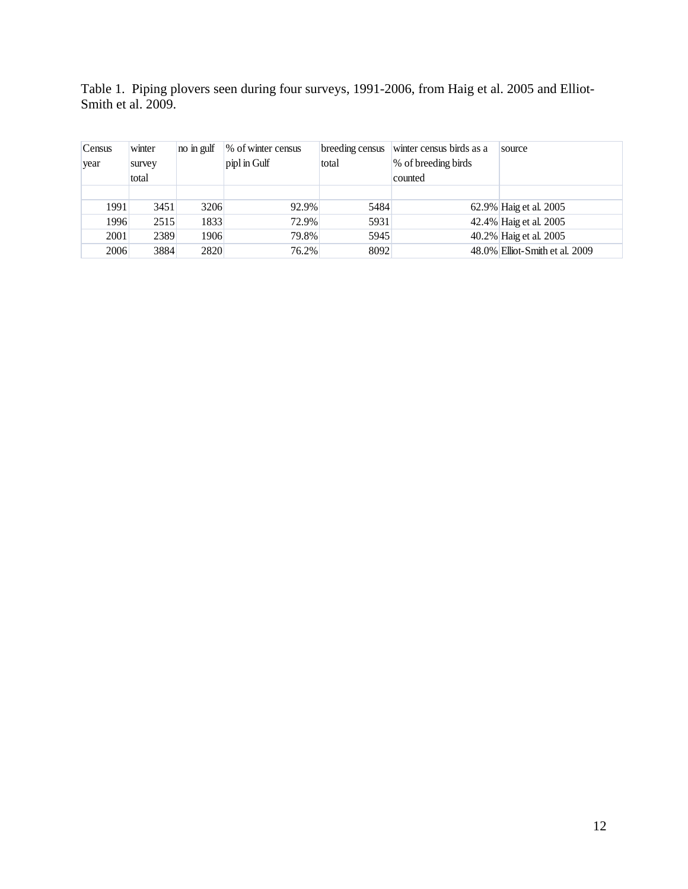Table 1. Piping plovers seen during four surveys, 1991-2006, from Haig et al. 2005 and Elliot-Smith et al. 2009.

| Census | winter | no in gulf | % of winter census | breeding census | winter census birds as a | source                         |
|--------|--------|------------|--------------------|-----------------|--------------------------|--------------------------------|
| year   | survey |            | pipl in Gulf       | total           | \% of breeding birds     |                                |
|        | total  |            |                    |                 | counted                  |                                |
|        |        |            |                    |                 |                          |                                |
| 1991   | 3451   | 3206       | 92.9%              | 5484            |                          | 62.9% Haig et al. 2005         |
| 1996   | 2515   | 1833       | 72.9%              | 5931            |                          | 42.4% Haig et al. 2005         |
| 2001   | 2389   | 1906       | 79.8%              | 5945            |                          | 40.2% Haig et al. 2005         |
| 2006   | 3884   | 2820       | 76.2%              | 8092            |                          | 48.0% Elliot-Smith et al. 2009 |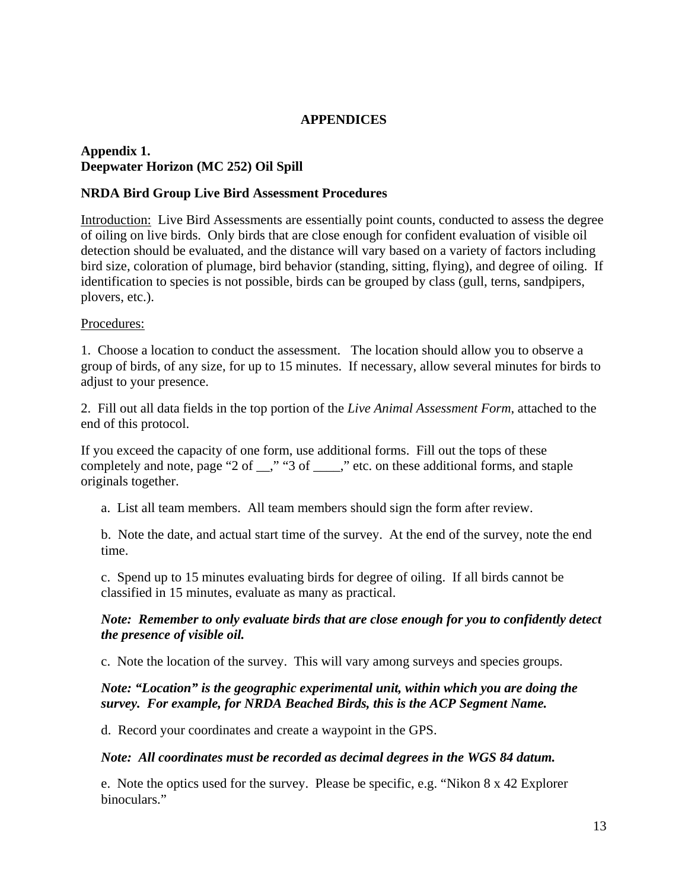## **APPENDICES**

## **Appendix 1. Deepwater Horizon (MC 252) Oil Spill**

### **NRDA Bird Group Live Bird Assessment Procedures**

Introduction: Live Bird Assessments are essentially point counts, conducted to assess the degree of oiling on live birds. Only birds that are close enough for confident evaluation of visible oil detection should be evaluated, and the distance will vary based on a variety of factors including bird size, coloration of plumage, bird behavior (standing, sitting, flying), and degree of oiling. If identification to species is not possible, birds can be grouped by class (gull, terns, sandpipers, plovers, etc.).

### Procedures:

1. Choose a location to conduct the assessment. The location should allow you to observe a group of birds, of any size, for up to 15 minutes. If necessary, allow several minutes for birds to adjust to your presence.

2. Fill out all data fields in the top portion of the *Live Animal Assessment Form*, attached to the end of this protocol.

If you exceed the capacity of one form, use additional forms. Fill out the tops of these completely and note, page "2 of \_\_," "3 of \_\_\_\_," etc. on these additional forms, and staple originals together.

a. List all team members. All team members should sign the form after review.

b. Note the date, and actual start time of the survey. At the end of the survey, note the end time.

c. Spend up to 15 minutes evaluating birds for degree of oiling. If all birds cannot be classified in 15 minutes, evaluate as many as practical.

### *Note: Remember to only evaluate birds that are close enough for you to confidently detect the presence of visible oil.*

c. Note the location of the survey. This will vary among surveys and species groups.

### *Note: "Location" is the geographic experimental unit, within which you are doing the survey. For example, for NRDA Beached Birds, this is the ACP Segment Name.*

d. Record your coordinates and create a waypoint in the GPS.

#### *Note: All coordinates must be recorded as decimal degrees in the WGS 84 datum.*

e. Note the optics used for the survey. Please be specific, e.g. "Nikon 8 x 42 Explorer binoculars."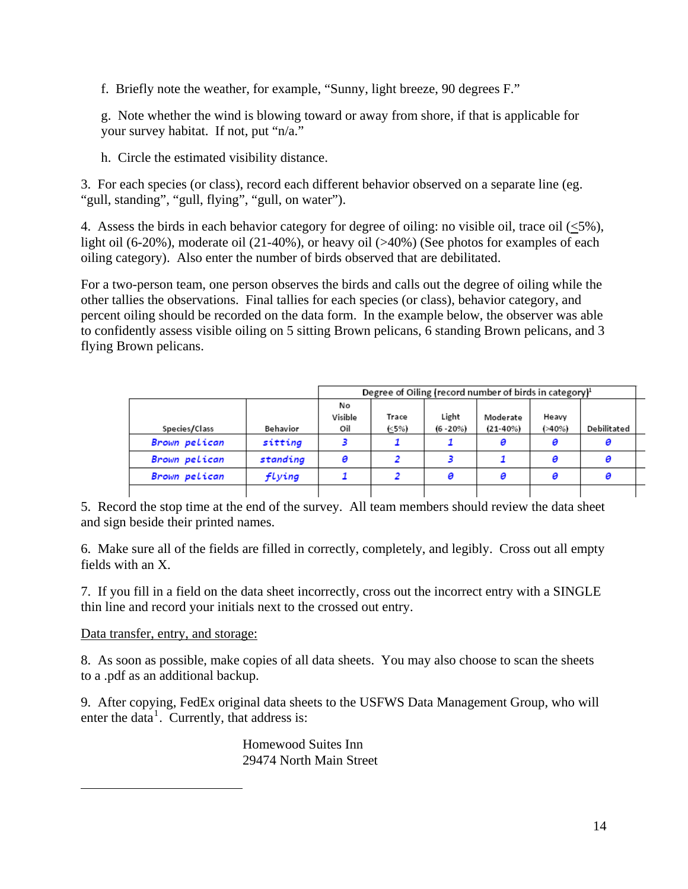<span id="page-14-0"></span>f. Briefly note the weather, for example, "Sunny, light breeze, 90 degrees F."

g. Note whether the wind is blowing toward or away from shore, if that is applicable for your survey habitat. If not, put "n/a."

h. Circle the estimated visibility distance.

3. For each species (or class), record each different behavior observed on a separate line (eg. "gull, standing", "gull, flying", "gull, on water").

4. Assess the birds in each behavior category for degree of oiling: no visible oil, trace oil (<5%), light oil (6-20%), moderate oil (21-40%), or heavy oil (>40%) (See photos for examples of each oiling category). Also enter the number of birds observed that are debilitated.

For a two-person team, one person observes the birds and calls out the degree of oiling while the other tallies the observations. Final tallies for each species (or class), behavior category, and percent oiling should be recorded on the data form. In the example below, the observer was able to confidently assess visible oiling on 5 sitting Brown pelicans, 6 standing Brown pelicans, and 3 flying Brown pelicans.

|               |          |                      | Degree of Oiling (record number of birds in category) <sup>1</sup> |                      |                          |                   |             |  |
|---------------|----------|----------------------|--------------------------------------------------------------------|----------------------|--------------------------|-------------------|-------------|--|
| Species/Class | Behavior | No<br>Visible<br>Oil | Trace<br>(<5%)                                                     | Light<br>$(6 - 20%)$ | Moderate<br>$(21 - 40%)$ | Heavy<br>$(*40%)$ | Debilitated |  |
| Brown pelican | sitting  |                      |                                                                    |                      | 0                        | ø                 |             |  |
| Brown pelican | standing |                      |                                                                    |                      |                          |                   |             |  |
| Brown pelican | flying   |                      |                                                                    |                      | Θ                        |                   |             |  |
|               |          |                      |                                                                    |                      |                          |                   |             |  |

5. Record the stop time at the end of the survey. All team members should review the data sheet and sign beside their printed names.

6. Make sure all of the fields are filled in correctly, completely, and legibly. Cross out all empty fields with an X.

7. If you fill in a field on the data sheet incorrectly, cross out the incorrect entry with a SINGLE thin line and record your initials next to the crossed out entry.

Data transfer, entry, and storage:

8. As soon as possible, make copies of all data sheets. You may also choose to scan the sheets to a .pdf as an additional backup.

9. After copying, FedEx original data sheets to the USFWS Data Management Group, who will enter the data<sup>[1](#page-14-0)</sup>. Currently, that address is:

> Homewood Suites Inn 29474 North Main Street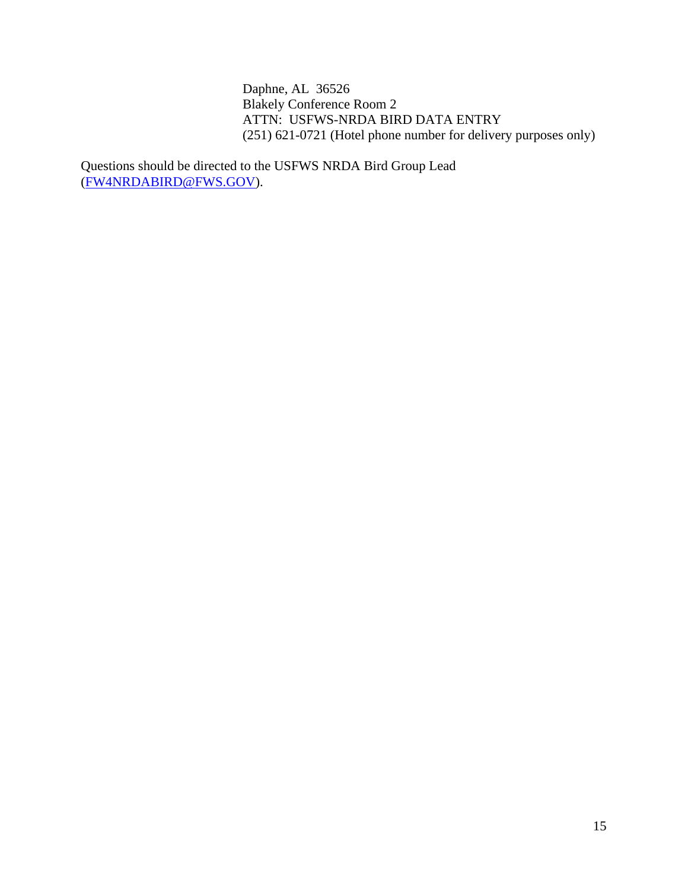Daphne, AL 36526 Blakely Conference Room 2 ATTN: USFWS-NRDA BIRD DATA ENTRY (251) 621-0721 (Hotel phone number for delivery purposes only)

Questions should be directed to the USFWS NRDA Bird Group Lead ([FW4NRDABIRD@FWS.GOV](mailto:FW4NRDABIRD@FWS.GOV)).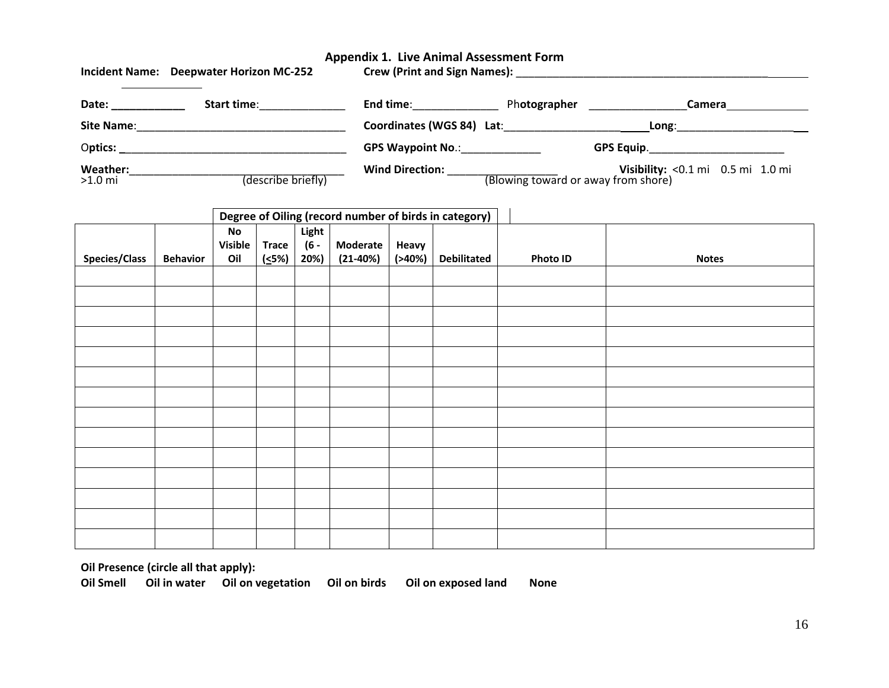#### **Appendix 1. Live Animal Assessment Form**

|                     | Incident Name: Deepwater Horizon MC-252 | Crew (Print and Sign Names): Names and Sign Names and Sign Names and Sign Names and Signal Assembly and Signal Assembly and Signal Assembly and Signal Assembly and Signal Assembly and Signal Assembly and Signal Assembly an |                                     |                                   |
|---------------------|-----------------------------------------|--------------------------------------------------------------------------------------------------------------------------------------------------------------------------------------------------------------------------------|-------------------------------------|-----------------------------------|
| Date:               | <b>Start time:</b>                      | End time:                                                                                                                                                                                                                      | Photographer                        | Camera                            |
| <b>Site Name:</b>   |                                         | Coordinates (WGS 84) Lat:                                                                                                                                                                                                      | Long:                               |                                   |
| Optics:             |                                         | <b>GPS Waypoint No.:</b>                                                                                                                                                                                                       | GPS Equip.                          |                                   |
| Weather:<br>>1.0 mi | (describe briefly)                      | <b>Wind Direction:</b>                                                                                                                                                                                                         | (Blowing toward or away from shore) | Visibility: <0.1 mi 0.5 mi 1.0 mi |

| Degree of Oiling (record number of birds in category) |                 |                                        |                                  |                         |                               |                      |                    |          |              |
|-------------------------------------------------------|-----------------|----------------------------------------|----------------------------------|-------------------------|-------------------------------|----------------------|--------------------|----------|--------------|
| <b>Species/Class</b>                                  | <b>Behavior</b> | $\mathsf{No}$<br><b>Visible</b><br>Oil | <b>Trace</b><br><u>(&lt;</u> 5%) | Light<br>$(6 -$<br>20%) | <b>Moderate</b><br>$(21-40%)$ | Heavy<br>$( > 40\%)$ | <b>Debilitated</b> | Photo ID | <b>Notes</b> |
|                                                       |                 |                                        |                                  |                         |                               |                      |                    |          |              |
|                                                       |                 |                                        |                                  |                         |                               |                      |                    |          |              |
|                                                       |                 |                                        |                                  |                         |                               |                      |                    |          |              |
|                                                       |                 |                                        |                                  |                         |                               |                      |                    |          |              |
|                                                       |                 |                                        |                                  |                         |                               |                      |                    |          |              |
|                                                       |                 |                                        |                                  |                         |                               |                      |                    |          |              |
|                                                       |                 |                                        |                                  |                         |                               |                      |                    |          |              |
|                                                       |                 |                                        |                                  |                         |                               |                      |                    |          |              |
|                                                       |                 |                                        |                                  |                         |                               |                      |                    |          |              |
|                                                       |                 |                                        |                                  |                         |                               |                      |                    |          |              |
|                                                       |                 |                                        |                                  |                         |                               |                      |                    |          |              |
|                                                       |                 |                                        |                                  |                         |                               |                      |                    |          |              |
|                                                       |                 |                                        |                                  |                         |                               |                      |                    |          |              |
|                                                       |                 |                                        |                                  |                         |                               |                      |                    |          |              |

**Oil Presence (circle all that apply):**

**Oil Smell Oil in water Oil on vegetation Oil on birds Oil on exposed land None**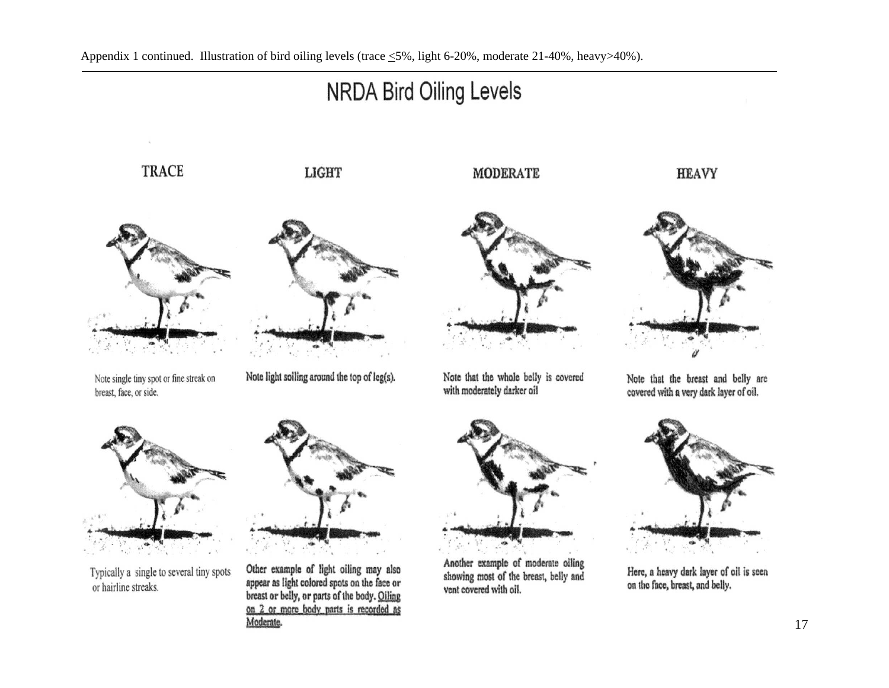

17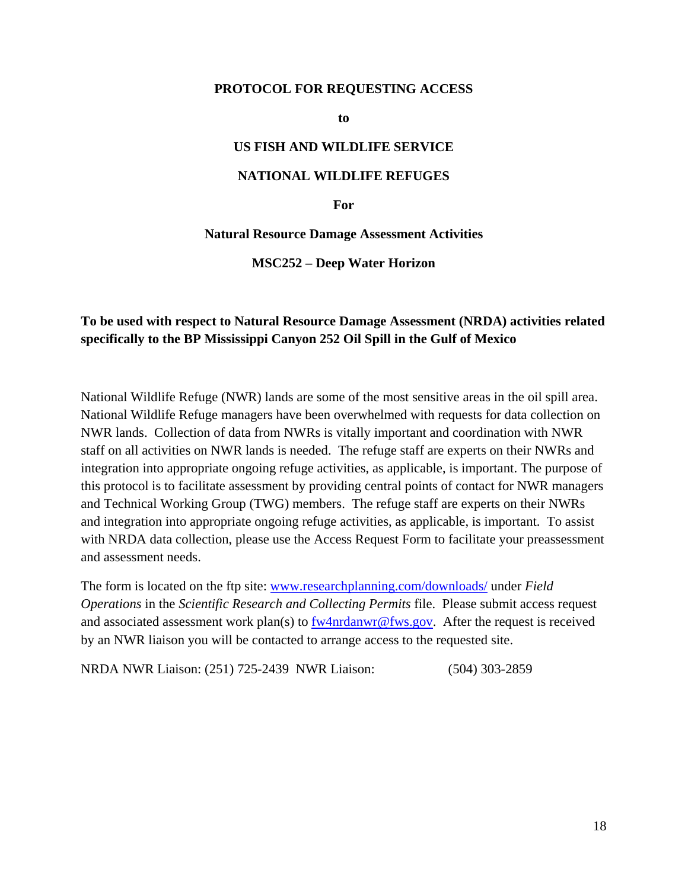#### **PROTOCOL FOR REQUESTING ACCESS**

**to** 

### **US FISH AND WILDLIFE SERVICE**

#### **NATIONAL WILDLIFE REFUGES**

#### **For**

**Natural Resource Damage Assessment Activities** 

**MSC252 – Deep Water Horizon**

## **To be used with respect to Natural Resource Damage Assessment (NRDA) activities related specifically to the BP Mississippi Canyon 252 Oil Spill in the Gulf of Mexico**

National Wildlife Refuge (NWR) lands are some of the most sensitive areas in the oil spill area. National Wildlife Refuge managers have been overwhelmed with requests for data collection on NWR lands. Collection of data from NWRs is vitally important and coordination with NWR staff on all activities on NWR lands is needed. The refuge staff are experts on their NWRs and integration into appropriate ongoing refuge activities, as applicable, is important. The purpose of this protocol is to facilitate assessment by providing central points of contact for NWR managers and Technical Working Group (TWG) members. The refuge staff are experts on their NWRs and integration into appropriate ongoing refuge activities, as applicable, is important. To assist with NRDA data collection, please use the Access Request Form to facilitate your preassessment and assessment needs.

The form is located on the ftp site: [www.researchplanning.com/downloads/](http://www.researchplanning.com/downloads/) under *Field Operations* in the *Scientific Research and Collecting Permits* file. Please submit access request and associated assessment work plan(s) to  $f_{\text{w}}$  and  $f_{\text{w}}$  and  $f_{\text{w}}$ . After the request is received by an NWR liaison you will be contacted to arrange access to the requested site.

NRDA NWR Liaison: (251) 725-2439 NWR Liaison: (504) 303-2859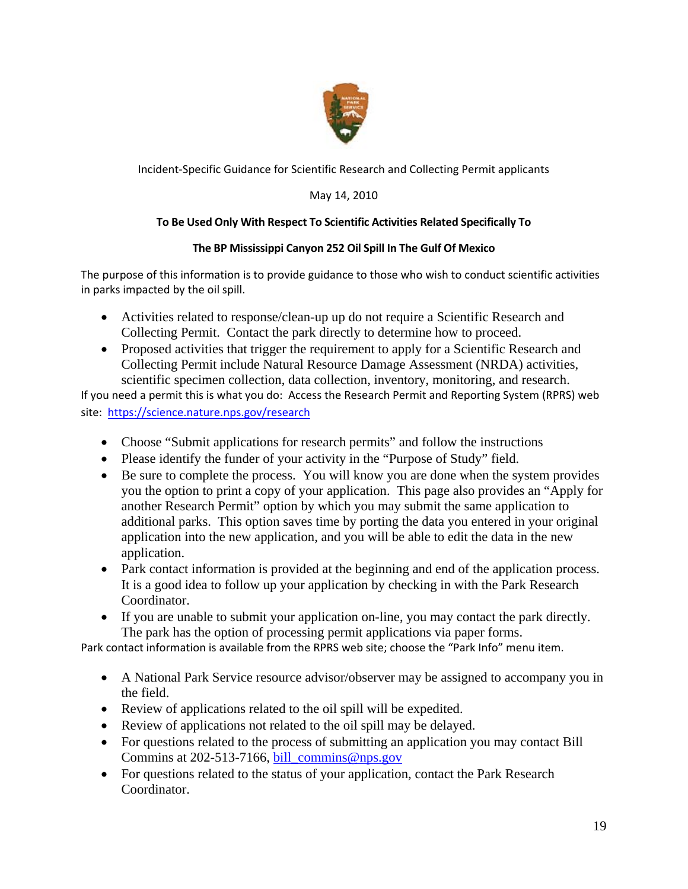

Incident‐Specific Guidance for Scientific Research and Collecting Permit applicants

## May 14, 2010

## **To Be Used Only With Respect To Scientific Activities Related Specifically To**

### **The BP Mississippi Canyon 252 Oil Spill In The Gulf Of Mexico**

The purpose of this information is to provide guidance to those who wish to conduct scientific activities in parks impacted by the oil spill.

- Activities related to response/clean-up up do not require a Scientific Research and Collecting Permit. Contact the park directly to determine how to proceed.
- Proposed activities that trigger the requirement to apply for a Scientific Research and Collecting Permit include Natural Resource Damage Assessment (NRDA) activities, scientific specimen collection, data collection, inventory, monitoring, and research.

If you need a permit this is what you do: Access the Research Permit and Reporting System (RPRS) web site: <https://science.nature.nps.gov/research>

- Choose "Submit applications for research permits" and follow the instructions
- Please identify the funder of your activity in the "Purpose of Study" field.
- Be sure to complete the process. You will know you are done when the system provides you the option to print a copy of your application. This page also provides an "Apply for another Research Permit" option by which you may submit the same application to additional parks. This option saves time by porting the data you entered in your original application into the new application, and you will be able to edit the data in the new application.
- Park contact information is provided at the beginning and end of the application process. It is a good idea to follow up your application by checking in with the Park Research Coordinator.
- If you are unable to submit your application on-line, you may contact the park directly. The park has the option of processing permit applications via paper forms.

Park contact information is available from the RPRS web site; choose the "Park Info" menu item.

- A National Park Service resource advisor/observer may be assigned to accompany you in the field.
- Review of applications related to the oil spill will be expedited.
- Review of applications not related to the oil spill may be delayed.
- For questions related to the process of submitting an application you may contact Bill Commins at 202-513-7166, [bill\\_commins@nps.gov](mailto:bill_commins@nps.gov)
- For questions related to the status of your application, contact the Park Research Coordinator.